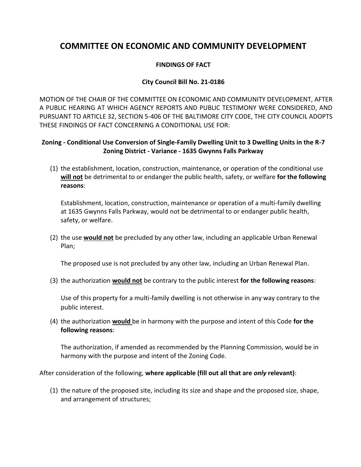# **COMMITTEE ON ECONOMIC AND COMMUNITY DEVELOPMENT**

#### **FINDINGS OF FACT**

#### **City Council Bill No. 21-0186**

MOTION OF THE CHAIR OF THE COMMITTEE ON ECONOMIC AND COMMUNITY DEVELOPMENT, AFTER A PUBLIC HEARING AT WHICH AGENCY REPORTS AND PUBLIC TESTIMONY WERE CONSIDERED, AND PURSUANT TO ARTICLE 32, SECTION 5-406 OF THE BALTIMORE CITY CODE, THE CITY COUNCIL ADOPTS THESE FINDINGS OF FACT CONCERNING A CONDITIONAL USE FOR:

# **Zoning - Conditional Use Conversion of Single-Family Dwelling Unit to 3 Dwelling Units in the R-7 Zoning District - Variance - 1635 Gwynns Falls Parkway**

(1) the establishment, location, construction, maintenance, or operation of the conditional use **will not** be detrimental to or endanger the public health, safety, or welfare **for the following reasons**:

Establishment, location, construction, maintenance or operation of a multi-family dwelling at 1635 Gwynns Falls Parkway, would not be detrimental to or endanger public health, safety, or welfare.

(2) the use **would not** be precluded by any other law, including an applicable Urban Renewal Plan;

The proposed use is not precluded by any other law, including an Urban Renewal Plan.

(3) the authorization **would not** be contrary to the public interest **for the following reasons**:

Use of this property for a multi-family dwelling is not otherwise in any way contrary to the public interest.

(4) the authorization **would** be in harmony with the purpose and intent of this Code **for the following reasons**:

The authorization, if amended as recommended by the Planning Commission, would be in harmony with the purpose and intent of the Zoning Code.

After consideration of the following, **where applicable (fill out all that are** *only* **relevant)**:

(1) the nature of the proposed site, including its size and shape and the proposed size, shape, and arrangement of structures;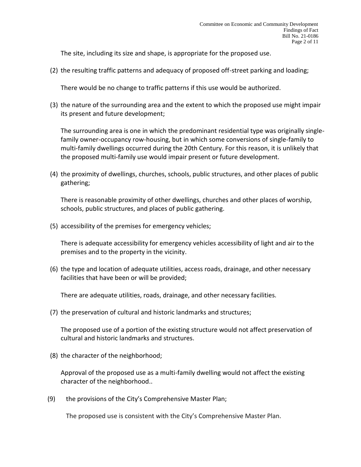The site, including its size and shape, is appropriate for the proposed use.

(2) the resulting traffic patterns and adequacy of proposed off-street parking and loading;

There would be no change to traffic patterns if this use would be authorized.

(3) the nature of the surrounding area and the extent to which the proposed use might impair its present and future development;

The surrounding area is one in which the predominant residential type was originally singlefamily owner-occupancy row-housing, but in which some conversions of single-family to multi-family dwellings occurred during the 20th Century. For this reason, it is unlikely that the proposed multi-family use would impair present or future development.

(4) the proximity of dwellings, churches, schools, public structures, and other places of public gathering;

There is reasonable proximity of other dwellings, churches and other places of worship, schools, public structures, and places of public gathering.

(5) accessibility of the premises for emergency vehicles;

There is adequate accessibility for emergency vehicles accessibility of light and air to the premises and to the property in the vicinity.

(6) the type and location of adequate utilities, access roads, drainage, and other necessary facilities that have been or will be provided;

There are adequate utilities, roads, drainage, and other necessary facilities.

(7) the preservation of cultural and historic landmarks and structures;

The proposed use of a portion of the existing structure would not affect preservation of cultural and historic landmarks and structures.

(8) the character of the neighborhood;

Approval of the proposed use as a multi-family dwelling would not affect the existing character of the neighborhood..

(9) the provisions of the City's Comprehensive Master Plan;

The proposed use is consistent with the City's Comprehensive Master Plan.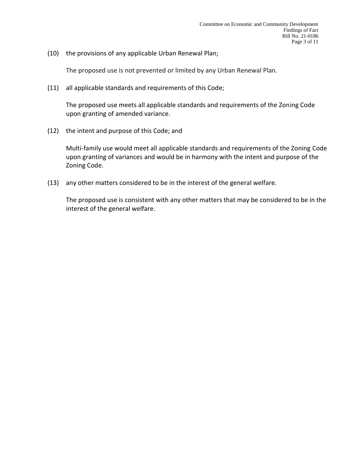(10) the provisions of any applicable Urban Renewal Plan;

The proposed use is not prevented or limited by any Urban Renewal Plan.

(11) all applicable standards and requirements of this Code;

The proposed use meets all applicable standards and requirements of the Zoning Code upon granting of amended variance.

(12) the intent and purpose of this Code; and

Multi-family use would meet all applicable standards and requirements of the Zoning Code upon granting of variances and would be in harmony with the intent and purpose of the Zoning Code.

(13) any other matters considered to be in the interest of the general welfare.

The proposed use is consistent with any other matters that may be considered to be in the interest of the general welfare.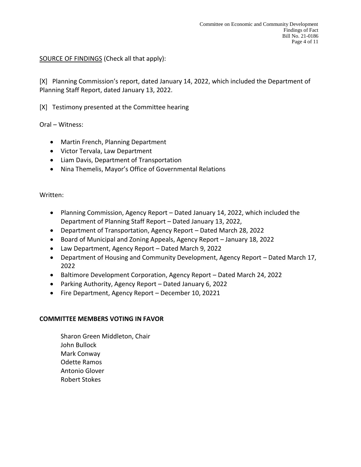# SOURCE OF FINDINGS (Check all that apply):

[X] Planning Commission's report, dated January 14, 2022, which included the Department of Planning Staff Report, dated January 13, 2022.

[X] Testimony presented at the Committee hearing

Oral – Witness:

- Martin French, Planning Department
- Victor Tervala, Law Department
- Liam Davis, Department of Transportation
- Nina Themelis, Mayor's Office of Governmental Relations

# Written:

- Planning Commission, Agency Report Dated January 14, 2022, which included the Department of Planning Staff Report – Dated January 13, 2022,
- Department of Transportation, Agency Report Dated March 28, 2022
- Board of Municipal and Zoning Appeals, Agency Report January 18, 2022
- Law Department, Agency Report Dated March 9, 2022
- Department of Housing and Community Development, Agency Report Dated March 17, 2022
- Baltimore Development Corporation, Agency Report Dated March 24, 2022
- Parking Authority, Agency Report Dated January 6, 2022
- Fire Department, Agency Report December 10, 20221

# **COMMITTEE MEMBERS VOTING IN FAVOR**

Sharon Green Middleton, Chair John Bullock Mark Conway Odette Ramos Antonio Glover Robert Stokes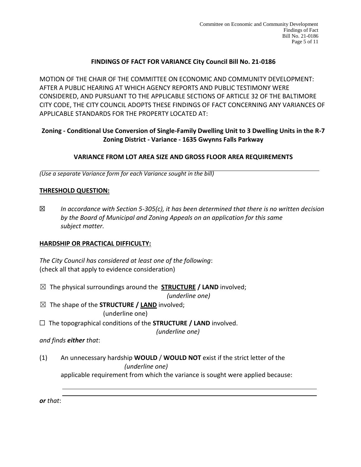# **FINDINGS OF FACT FOR VARIANCE City Council Bill No. 21-0186**

MOTION OF THE CHAIR OF THE COMMITTEE ON ECONOMIC AND COMMUNITY DEVELOPMENT: AFTER A PUBLIC HEARING AT WHICH AGENCY REPORTS AND PUBLIC TESTIMONY WERE CONSIDERED, AND PURSUANT TO THE APPLICABLE SECTIONS OF ARTICLE 32 OF THE BALTIMORE CITY CODE, THE CITY COUNCIL ADOPTS THESE FINDINGS OF FACT CONCERNING ANY VARIANCES OF APPLICABLE STANDARDS FOR THE PROPERTY LOCATED AT:

# **Zoning - Conditional Use Conversion of Single-Family Dwelling Unit to 3 Dwelling Units in the R-7 Zoning District - Variance - 1635 Gwynns Falls Parkway**

# **VARIANCE FROM LOT AREA SIZE AND GROSS FLOOR AREA REQUIREMENTS**

*(Use a separate Variance form for each Variance sought in the bill)*

#### **THRESHOLD QUESTION:**

☒ *In accordance with Section 5-305(c), it has been determined that there is no written decision by the Board of Municipal and Zoning Appeals on an application for this same subject matter.*

#### **HARDSHIP OR PRACTICAL DIFFICULTY:**

*The City Council has considered at least one of the following*: (check all that apply to evidence consideration)

☒ The physical surroundings around the **STRUCTURE / LAND** involved;

*(underline one)*

☒ The shape of the **STRUCTURE / LAND** involved;

(underline one)

☐ The topographical conditions of the **STRUCTURE / LAND** involved.

*(underline one)*

*and finds either that*:

(1) An unnecessary hardship **WOULD** / **WOULD NOT** exist if the strict letter of the *(underline one)*

applicable requirement from which the variance is sought were applied because:

*or that*: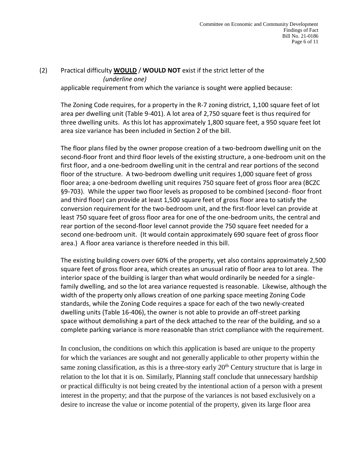# (2) Practical difficulty **WOULD** / **WOULD NOT** exist if the strict letter of the *(underline one)*

applicable requirement from which the variance is sought were applied because:

The Zoning Code requires, for a property in the R-7 zoning district, 1,100 square feet of lot area per dwelling unit (Table 9-401). A lot area of 2,750 square feet is thus required for three dwelling units. As this lot has approximately 1,800 square feet, a 950 square feet lot area size variance has been included in Section 2 of the bill.

The floor plans filed by the owner propose creation of a two-bedroom dwelling unit on the second-floor front and third floor levels of the existing structure, a one-bedroom unit on the first floor, and a one-bedroom dwelling unit in the central and rear portions of the second floor of the structure. A two-bedroom dwelling unit requires 1,000 square feet of gross floor area; a one-bedroom dwelling unit requires 750 square feet of gross floor area (BCZC §9-703). While the upper two floor levels as proposed to be combined (second-floor front and third floor) can provide at least 1,500 square feet of gross floor area to satisfy the conversion requirement for the two-bedroom unit, and the first-floor level can provide at least 750 square feet of gross floor area for one of the one-bedroom units, the central and rear portion of the second-floor level cannot provide the 750 square feet needed for a second one-bedroom unit. (It would contain approximately 690 square feet of gross floor area.) A floor area variance is therefore needed in this bill.

The existing building covers over 60% of the property, yet also contains approximately 2,500 square feet of gross floor area, which creates an unusual ratio of floor area to lot area. The interior space of the building is larger than what would ordinarily be needed for a singlefamily dwelling, and so the lot area variance requested is reasonable. Likewise, although the width of the property only allows creation of one parking space meeting Zoning Code standards, while the Zoning Code requires a space for each of the two newly-created dwelling units (Table 16-406), the owner is not able to provide an off-street parking space without demolishing a part of the deck attached to the rear of the building, and so a complete parking variance is more reasonable than strict compliance with the requirement.

In conclusion, the conditions on which this application is based are unique to the property for which the variances are sought and not generally applicable to other property within the same zoning classification, as this is a three-story early  $20<sup>th</sup>$  Century structure that is large in relation to the lot that it is on. Similarly, Planning staff conclude that unnecessary hardship or practical difficulty is not being created by the intentional action of a person with a present interest in the property; and that the purpose of the variances is not based exclusively on a desire to increase the value or income potential of the property, given its large floor area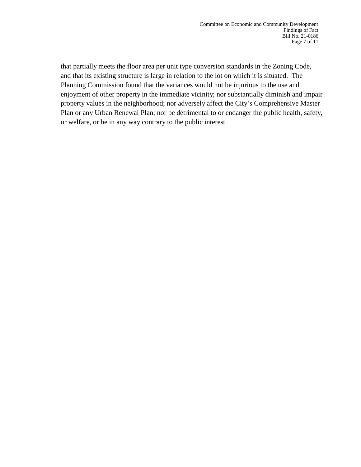that partially meets the floor area per unit type conversion standards in the Zoning Code, and that its existing structure is large in relation to the lot on which it is situated. The Planning Commission found that the variances would not be injurious to the use and enjoyment of other property in the immediate vicinity; nor substantially diminish and impair property values in the neighborhood; nor adversely affect the City's Comprehensive Master Plan or any Urban Renewal Plan; nor be detrimental to or endanger the public health, safety, or welfare, or be in any way contrary to the public interest.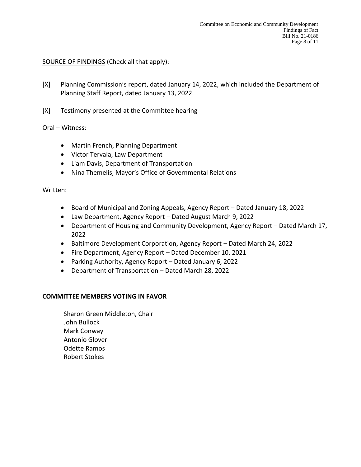#### SOURCE OF FINDINGS (Check all that apply):

- [X] Planning Commission's report, dated January 14, 2022, which included the Department of Planning Staff Report, dated January 13, 2022.
- [X] Testimony presented at the Committee hearing

Oral – Witness:

- Martin French, Planning Department
- Victor Tervala, Law Department
- Liam Davis, Department of Transportation
- Nina Themelis, Mayor's Office of Governmental Relations

Written:

- Board of Municipal and Zoning Appeals, Agency Report Dated January 18, 2022
- Law Department, Agency Report Dated August March 9, 2022
- Department of Housing and Community Development, Agency Report Dated March 17, 2022
- Baltimore Development Corporation, Agency Report Dated March 24, 2022
- Fire Department, Agency Report Dated December 10, 2021
- Parking Authority, Agency Report Dated January 6, 2022
- Department of Transportation Dated March 28, 2022

# **COMMITTEE MEMBERS VOTING IN FAVOR**

Sharon Green Middleton, Chair John Bullock Mark Conway Antonio Glover Odette Ramos Robert Stokes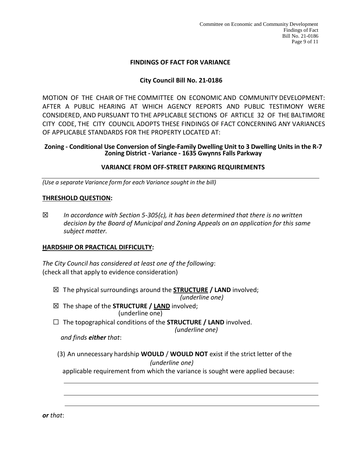#### **FINDINGS OF FACT FOR VARIANCE**

# **City Council Bill No. 21-0186**

MOTION OF THE CHAIR OF THE COMMITTEE ON ECONOMIC AND COMMUNITY DEVELOPMENT: AFTER A PUBLIC HEARING AT WHICH AGENCY REPORTS AND PUBLIC TESTIMONY WERE CONSIDERED, AND PURSUANT TO THE APPLICABLE SECTIONS OF ARTICLE 32 OF THE BALTIMORE CITY CODE, THE CITY COUNCIL ADOPTS THESE FINDINGS OF FACT CONCERNING ANY VARIANCES OF APPLICABLE STANDARDS FOR THE PROPERTY LOCATED AT:

#### **Zoning - Conditional Use Conversion of Single-Family Dwelling Unit to 3 Dwelling Units in the R-7 Zoning District - Variance - 1635 Gwynns Falls Parkway**

#### **VARIANCE FROM OFF-STREET PARKING REQUIREMENTS**

*(Use a separate Variance form for each Variance sought in the bill)*

#### **THRESHOLD QUESTION:**

☒ *In accordance with Section 5-305(c), it has been determined that there is no written decision by the Board of Municipal and Zoning Appeals on an application for this same subject matter.*

#### **HARDSHIP OR PRACTICAL DIFFICULTY:**

*The City Council has considered at least one of the following*: (check all that apply to evidence consideration)

☒ The physical surroundings around the **STRUCTURE / LAND** involved;

*(underline one)*

- ☒ The shape of the **STRUCTURE / LAND** involved; (underline one)
- ☐ The topographical conditions of the **STRUCTURE / LAND** involved.

*(underline one)*

*and finds either that*:

(3) An unnecessary hardship **WOULD** / **WOULD NOT** exist if the strict letter of the *(underline one)*

applicable requirement from which the variance is sought were applied because: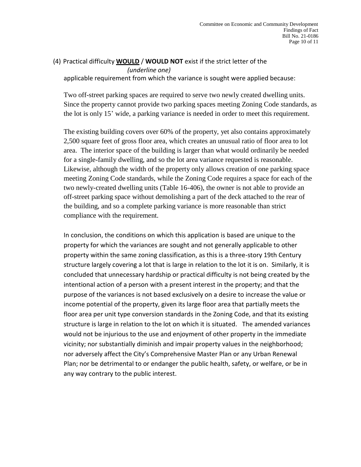#### (4) Practical difficulty **WOULD** / **WOULD NOT** exist if the strict letter of the *(underline one)* applicable requirement from which the variance is sought were applied because:

Two off-street parking spaces are required to serve two newly created dwelling units. Since the property cannot provide two parking spaces meeting Zoning Code standards, as the lot is only 15' wide, a parking variance is needed in order to meet this requirement.

The existing building covers over 60% of the property, yet also contains approximately 2,500 square feet of gross floor area, which creates an unusual ratio of floor area to lot area. The interior space of the building is larger than what would ordinarily be needed for a single-family dwelling, and so the lot area variance requested is reasonable. Likewise, although the width of the property only allows creation of one parking space meeting Zoning Code standards, while the Zoning Code requires a space for each of the two newly-created dwelling units (Table 16-406), the owner is not able to provide an off-street parking space without demolishing a part of the deck attached to the rear of the building, and so a complete parking variance is more reasonable than strict compliance with the requirement.

In conclusion, the conditions on which this application is based are unique to the property for which the variances are sought and not generally applicable to other property within the same zoning classification, as this is a three-story 19th Century structure largely covering a lot that is large in relation to the lot it is on. Similarly, it is concluded that unnecessary hardship or practical difficulty is not being created by the intentional action of a person with a present interest in the property; and that the purpose of the variances is not based exclusively on a desire to increase the value or income potential of the property, given its large floor area that partially meets the floor area per unit type conversion standards in the Zoning Code, and that its existing structure is large in relation to the lot on which it is situated. The amended variances would not be injurious to the use and enjoyment of other property in the immediate vicinity; nor substantially diminish and impair property values in the neighborhood; nor adversely affect the City's Comprehensive Master Plan or any Urban Renewal Plan; nor be detrimental to or endanger the public health, safety, or welfare, or be in any way contrary to the public interest.